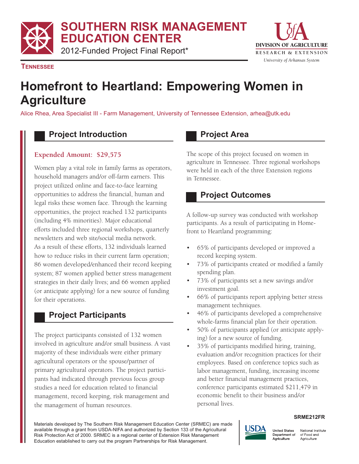**SOUTHERN RISK MANAGEMENT** 

**EDUCATION CENTER** 

2012-Funded Project Final Report\*



**TENNESSEE** 

# **Homefront to Heartland: Empowering Women in Agriculture**

Alice Rhea, Area Specialist III - Farm Management, University of Tennessee Extension, arhea@utk.edu

#### **Project Introduction**

#### **Expended Amount: \$29,575**

Women play a vital role in family farms as operators, household managers and/or off-farm earners. This project utilized online and face-to-face learning opportunities to address the financial, human and legal risks these women face. Through the learning opportunities, the project reached 132 participants (including 4% minorities). Major educational efforts included three regional workshops, quarterly newsletters and web site/social media network. As a result of these efforts, 132 individuals learned how to reduce risks in their current farm operation; 86 women developed/enhanced their record keeping system; 87 women applied better stress management strategies in their daily lives; and 66 women applied (or anticipate applying) for a new source of funding for their operations.

## **Project Participants**

The project participants consisted of 132 women involved in agriculture and/or small business. A vast majority of these individuals were either primary agricultural operators or the spouse/partner of primary agricultural operators. The project participants had indicated through previous focus group studies a need for education related to financial management, record keeping, risk management and the management of human resources.

#### **Project Area**

The scope of this project focused on women in agriculture in Tennessee. Three regional workshops were held in each of the three Extension regions in Tennessee.

### **Project Outcomes**

A follow-up survey was conducted with workshop participants. As a result of participating in Homefront to Heartland programming:

- 65% of participants developed or improved a record keeping system.
- 73% of participants created or modified a family spending plan.
- 73% of participants set a new savings and/or investment goal.
- 66% of participants report applying better stress management techniques.
- 46% of participants developed a comprehensive whole-farms financial plan for their operation.
- 50% of participants applied (or anticipate applying) for a new source of funding.
- 35% of participants modified hiring, training, evaluation and/or recognition practices for their employees. Based on conference topics such as labor management, funding, increasing income and better financial management practices, conference participants estimated \$211,479 in economic benefit to their business and/or personal lives.

#### **SRME212FR**

Materials developed by The Southern Risk Management Education Center (SRMEC) are made available through a grant from USDA-NIFA and authorized by Section 133 of the Agricultural Risk Protection Act of 2000. SRMEC is a regional center of Extension Risk Management Education established to carry out the program Partnerships for Risk Management.



National Institute Department of of Food and Agriculture